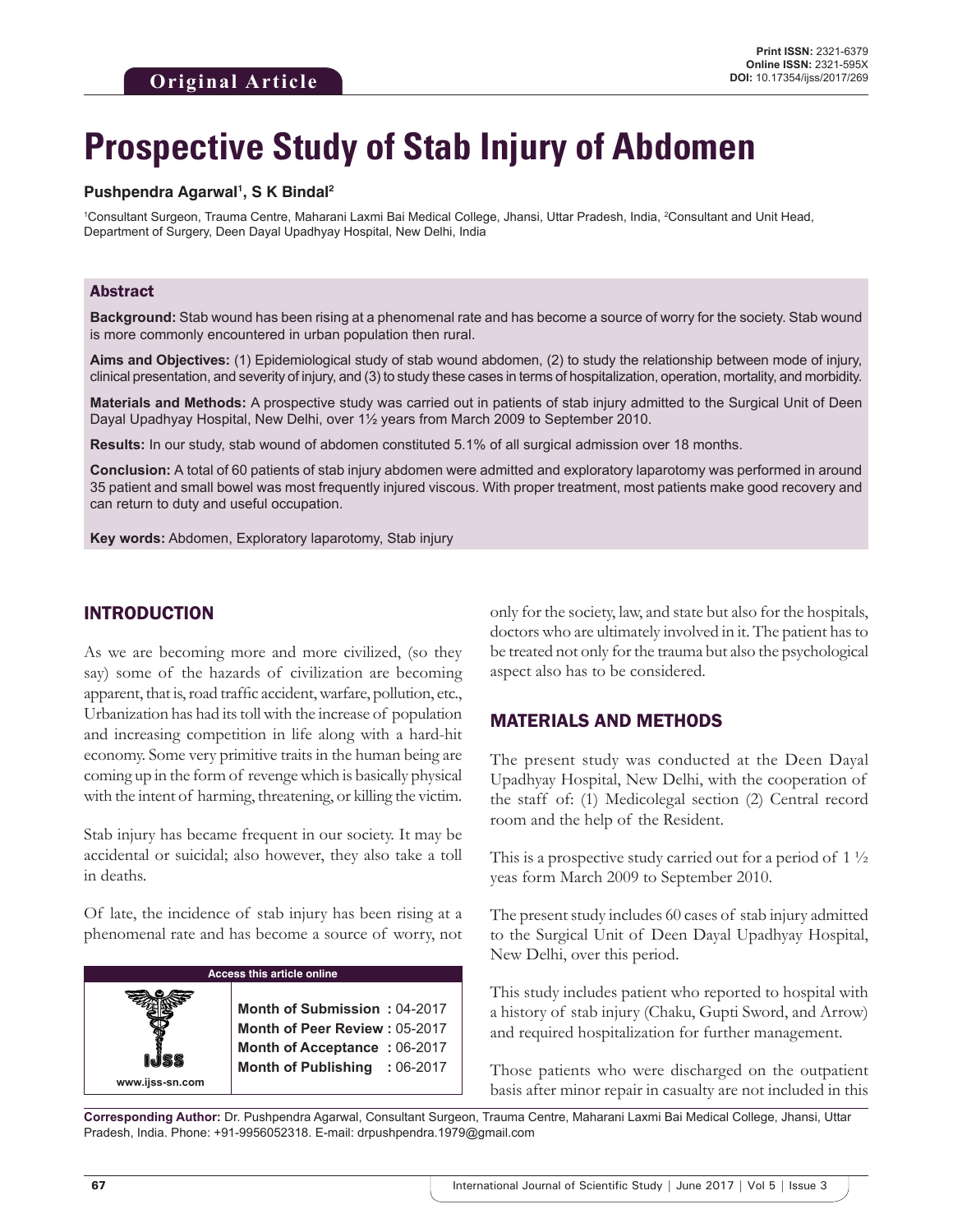# **Prospective Study of Stab Injury of Abdomen**

#### Pushpendra Agarwal<sup>1</sup>, S K Bindal<sup>2</sup>

<sup>1</sup>Consultant Surgeon, Trauma Centre, Maharani Laxmi Bai Medical College, Jhansi, Uttar Pradesh, India, <sup>2</sup>Consultant and Unit Head, Department of Surgery, Deen Dayal Upadhyay Hospital, New Delhi, India

#### Abstract

**Background:** Stab wound has been rising at a phenomenal rate and has become a source of worry for the society. Stab wound is more commonly encountered in urban population then rural.

**Aims and Objectives:** (1) Epidemiological study of stab wound abdomen, (2) to study the relationship between mode of injury, clinical presentation, and severity of injury, and (3) to study these cases in terms of hospitalization, operation, mortality, and morbidity.

**Materials and Methods:** A prospective study was carried out in patients of stab injury admitted to the Surgical Unit of Deen Dayal Upadhyay Hospital, New Delhi, over 1½ years from March 2009 to September 2010.

**Results:** In our study, stab wound of abdomen constituted 5.1% of all surgical admission over 18 months.

**Conclusion:** A total of 60 patients of stab injury abdomen were admitted and exploratory laparotomy was performed in around 35 patient and small bowel was most frequently injured viscous. With proper treatment, most patients make good recovery and can return to duty and useful occupation.

**Key words:** Abdomen, Exploratory laparotomy, Stab injury

### INTRODUCTION

As we are becoming more and more civilized, (so they say) some of the hazards of civilization are becoming apparent, that is, road traffic accident, warfare, pollution, etc., Urbanization has had its toll with the increase of population and increasing competition in life along with a hard-hit economy. Some very primitive traits in the human being are coming up in the form of revenge which is basically physical with the intent of harming, threatening, or killing the victim.

Stab injury has became frequent in our society. It may be accidental or suicidal; also however, they also take a toll in deaths.

Of late, the incidence of stab injury has been rising at a phenomenal rate and has become a source of worry, not

| <b>Access this article online</b> |                                                                                                                                |  |
|-----------------------------------|--------------------------------------------------------------------------------------------------------------------------------|--|
| www.ijss-sn.com                   | Month of Submission: 04-2017<br>Month of Peer Review: 05-2017<br>Month of Acceptance: 06-2017<br>Month of Publishing : 06-2017 |  |

only for the society, law, and state but also for the hospitals, doctors who are ultimately involved in it. The patient has to be treated not only for the trauma but also the psychological aspect also has to be considered.

## MATERIALS AND METHODS

The present study was conducted at the Deen Dayal Upadhyay Hospital, New Delhi, with the cooperation of the staff of: (1) Medicolegal section (2) Central record room and the help of the Resident.

This is a prospective study carried out for a period of  $1\frac{1}{2}$ yeas form March 2009 to September 2010.

The present study includes 60 cases of stab injury admitted to the Surgical Unit of Deen Dayal Upadhyay Hospital, New Delhi, over this period.

This study includes patient who reported to hospital with a history of stab injury (Chaku, Gupti Sword, and Arrow) and required hospitalization for further management.

Those patients who were discharged on the outpatient basis after minor repair in casualty are not included in this

**Corresponding Author:** Dr. Pushpendra Agarwal, Consultant Surgeon, Trauma Centre, Maharani Laxmi Bai Medical College, Jhansi, Uttar Pradesh, India. Phone: +91-9956052318. E-mail: drpushpendra.1979@gmail.com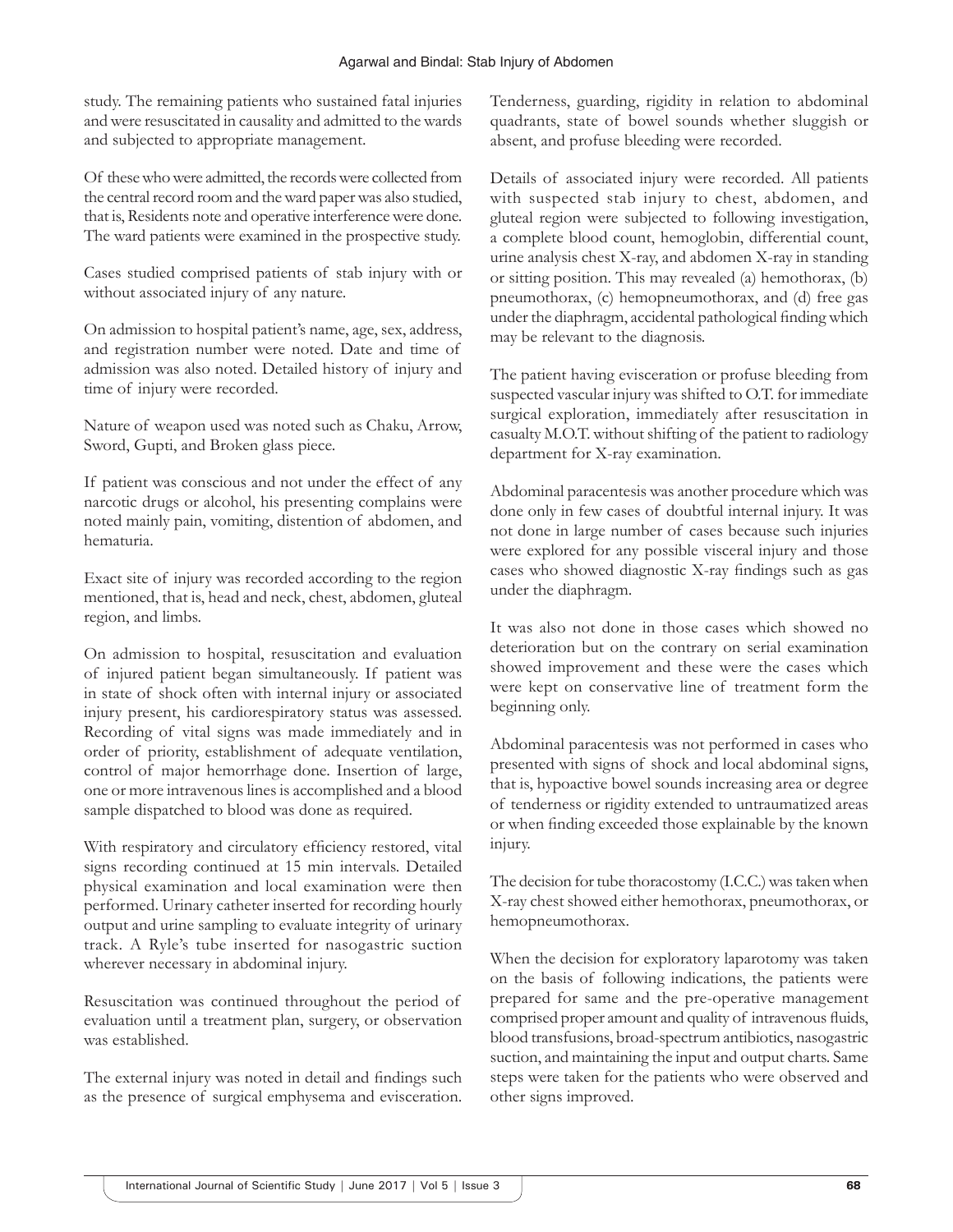study. The remaining patients who sustained fatal injuries and were resuscitated in causality and admitted to the wards and subjected to appropriate management.

Of these who were admitted, the records were collected from the central record room and the ward paper was also studied, that is, Residents note and operative interference were done. The ward patients were examined in the prospective study.

Cases studied comprised patients of stab injury with or without associated injury of any nature.

On admission to hospital patient's name, age, sex, address, and registration number were noted. Date and time of admission was also noted. Detailed history of injury and time of injury were recorded.

Nature of weapon used was noted such as Chaku, Arrow, Sword, Gupti, and Broken glass piece.

If patient was conscious and not under the effect of any narcotic drugs or alcohol, his presenting complains were noted mainly pain, vomiting, distention of abdomen, and hematuria.

Exact site of injury was recorded according to the region mentioned, that is, head and neck, chest, abdomen, gluteal region, and limbs.

On admission to hospital, resuscitation and evaluation of injured patient began simultaneously. If patient was in state of shock often with internal injury or associated injury present, his cardiorespiratory status was assessed. Recording of vital signs was made immediately and in order of priority, establishment of adequate ventilation, control of major hemorrhage done. Insertion of large, one or more intravenous lines is accomplished and a blood sample dispatched to blood was done as required.

With respiratory and circulatory efficiency restored, vital signs recording continued at 15 min intervals. Detailed physical examination and local examination were then performed. Urinary catheter inserted for recording hourly output and urine sampling to evaluate integrity of urinary track. A Ryle's tube inserted for nasogastric suction wherever necessary in abdominal injury.

Resuscitation was continued throughout the period of evaluation until a treatment plan, surgery, or observation was established.

The external injury was noted in detail and findings such as the presence of surgical emphysema and evisceration. Tenderness, guarding, rigidity in relation to abdominal quadrants, state of bowel sounds whether sluggish or absent, and profuse bleeding were recorded.

Details of associated injury were recorded. All patients with suspected stab injury to chest, abdomen, and gluteal region were subjected to following investigation, a complete blood count, hemoglobin, differential count, urine analysis chest X-ray, and abdomen X-ray in standing or sitting position. This may revealed (a) hemothorax, (b) pneumothorax, (c) hemopneumothorax, and (d) free gas under the diaphragm, accidental pathological finding which may be relevant to the diagnosis.

The patient having evisceration or profuse bleeding from suspected vascular injury was shifted to O.T. for immediate surgical exploration, immediately after resuscitation in casualty M.O.T. without shifting of the patient to radiology department for X-ray examination.

Abdominal paracentesis was another procedure which was done only in few cases of doubtful internal injury. It was not done in large number of cases because such injuries were explored for any possible visceral injury and those cases who showed diagnostic X-ray findings such as gas under the diaphragm.

It was also not done in those cases which showed no deterioration but on the contrary on serial examination showed improvement and these were the cases which were kept on conservative line of treatment form the beginning only.

Abdominal paracentesis was not performed in cases who presented with signs of shock and local abdominal signs, that is, hypoactive bowel sounds increasing area or degree of tenderness or rigidity extended to untraumatized areas or when finding exceeded those explainable by the known injury.

The decision for tube thoracostomy (I.C.C.) was taken when X-ray chest showed either hemothorax, pneumothorax, or hemopneumothorax.

When the decision for exploratory laparotomy was taken on the basis of following indications, the patients were prepared for same and the pre-operative management comprised proper amount and quality of intravenous fluids, blood transfusions, broad-spectrum antibiotics, nasogastric suction, and maintaining the input and output charts. Same steps were taken for the patients who were observed and other signs improved.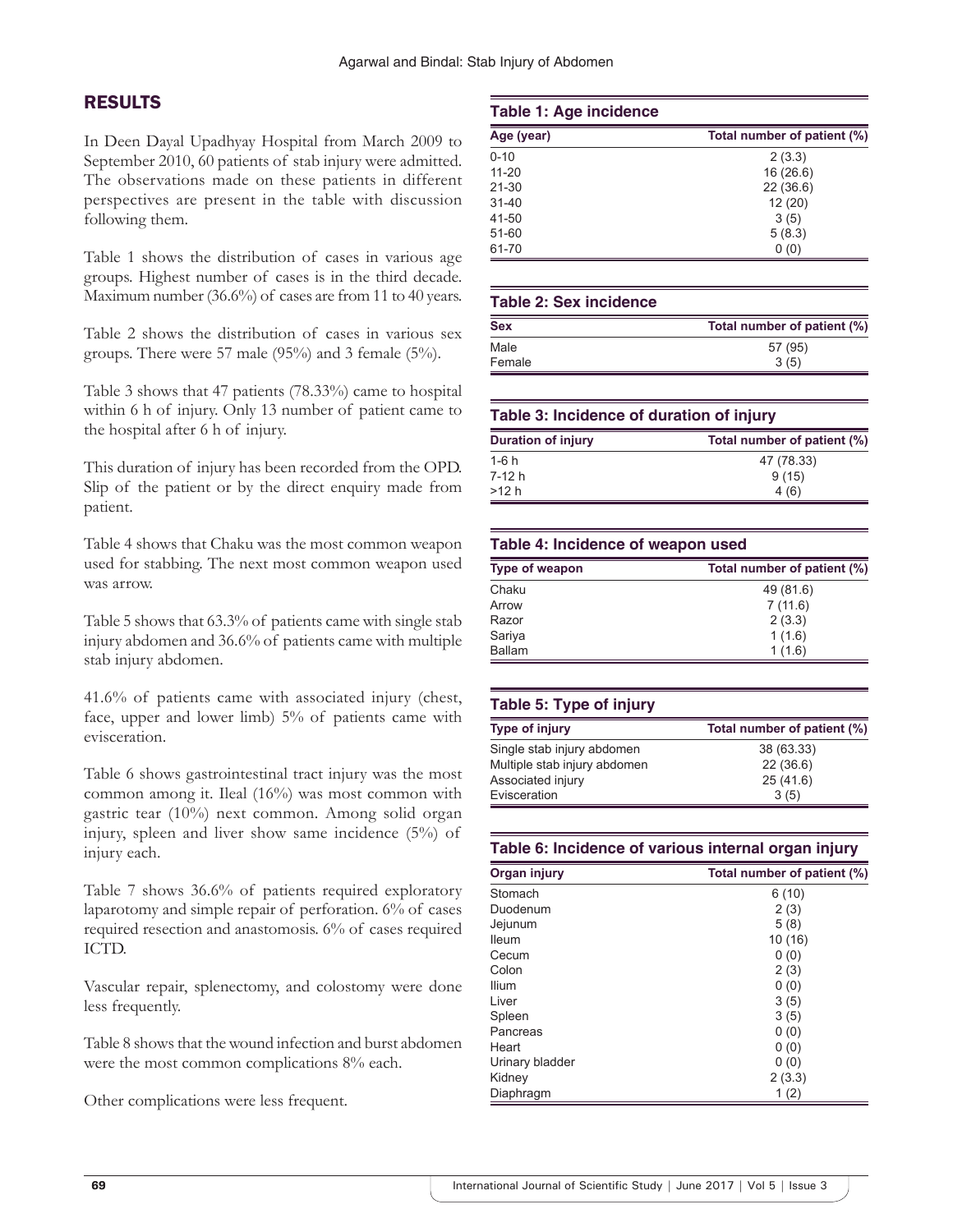# RESULTS

In Deen Dayal Upadhyay Hospital from March 2009 to September 2010, 60 patients of stab injury were admitted. The observations made on these patients in different perspectives are present in the table with discussion following them.

Table 1 shows the distribution of cases in various age groups. Highest number of cases is in the third decade. Maximum number (36.6%) of cases are from 11 to 40 years.

Table 2 shows the distribution of cases in various sex groups. There were 57 male (95%) and 3 female (5%).

Table 3 shows that 47 patients (78.33%) came to hospital within 6 h of injury. Only 13 number of patient came to the hospital after 6 h of injury.

This duration of injury has been recorded from the OPD. Slip of the patient or by the direct enquiry made from patient.

Table 4 shows that Chaku was the most common weapon used for stabbing. The next most common weapon used was arrow.

Table 5 shows that 63.3% of patients came with single stab injury abdomen and 36.6% of patients came with multiple stab injury abdomen.

41.6% of patients came with associated injury (chest, face, upper and lower limb) 5% of patients came with evisceration.

Table 6 shows gastrointestinal tract injury was the most common among it. Ileal (16%) was most common with gastric tear (10%) next common. Among solid organ injury, spleen and liver show same incidence (5%) of injury each.

Table 7 shows 36.6% of patients required exploratory laparotomy and simple repair of perforation. 6% of cases required resection and anastomosis. 6% of cases required ICTD.

Vascular repair, splenectomy, and colostomy were done less frequently.

Table 8 shows that the wound infection and burst abdomen were the most common complications  $8\%$  each.

Other complications were less frequent.

#### **Table 1: Age incidence**

| Age (year) | Total number of patient (%) |  |
|------------|-----------------------------|--|
| $0 - 10$   | 2(3.3)                      |  |
| $11 - 20$  | 16(26.6)                    |  |
| $21 - 30$  | 22(36.6)                    |  |
| $31 - 40$  | 12(20)                      |  |
| 41-50      | 3(5)                        |  |
| $51 - 60$  | 5(8.3)                      |  |
| 61-70      | 0(0)                        |  |

#### **Table 2: Sex incidence**

| <b>Sex</b> | Total number of patient (%) |  |
|------------|-----------------------------|--|
| Male       | 57 (95)                     |  |
| Female     | 3(5)                        |  |

| Table 3: Incidence of duration of injury |                             |
|------------------------------------------|-----------------------------|
| <b>Duration of injury</b>                | Total number of patient (%) |
| 1-6 h                                    | 47 (78.33)                  |
| 7-12 h                                   | 9(15)                       |
| >12 h                                    | 4(6)                        |

# **Table 4: Incidence of weapon used**

| Type of weapon | Total number of patient (%) |
|----------------|-----------------------------|
| Chaku          | 49 (81.6)                   |
| Arrow          | 7(11.6)                     |
| Razor          | 2(3.3)                      |
| Sariya         | 1(1.6)                      |
| <b>Ballam</b>  | 1(1.6)                      |

#### **Table 5: Type of injury**

| <b>Type of injury</b>        | Total number of patient (%) |
|------------------------------|-----------------------------|
| Single stab injury abdomen   | 38 (63.33)                  |
| Multiple stab injury abdomen | 22(36.6)                    |
| Associated injury            | 25(41.6)                    |
| Evisceration                 | 3(5)                        |

| Table 6: Incidence of various internal organ injury |  |  |  |  |
|-----------------------------------------------------|--|--|--|--|
|-----------------------------------------------------|--|--|--|--|

| Organ injury    | Total number of patient (%) |  |
|-----------------|-----------------------------|--|
| Stomach         | 6(10)                       |  |
| Duodenum        | 2(3)                        |  |
| Jejunum         | 5(8)                        |  |
| <b>Ileum</b>    | 10(16)                      |  |
| Cecum           | 0(0)                        |  |
| Colon           | 2(3)                        |  |
| Ilium           | 0(0)                        |  |
| Liver           | 3(5)                        |  |
| Spleen          | 3(5)                        |  |
| Pancreas        | 0(0)                        |  |
| Heart           | 0(0)                        |  |
| Urinary bladder | 0(0)                        |  |
| Kidney          | 2(3.3)                      |  |
| Diaphragm       | 1(2)                        |  |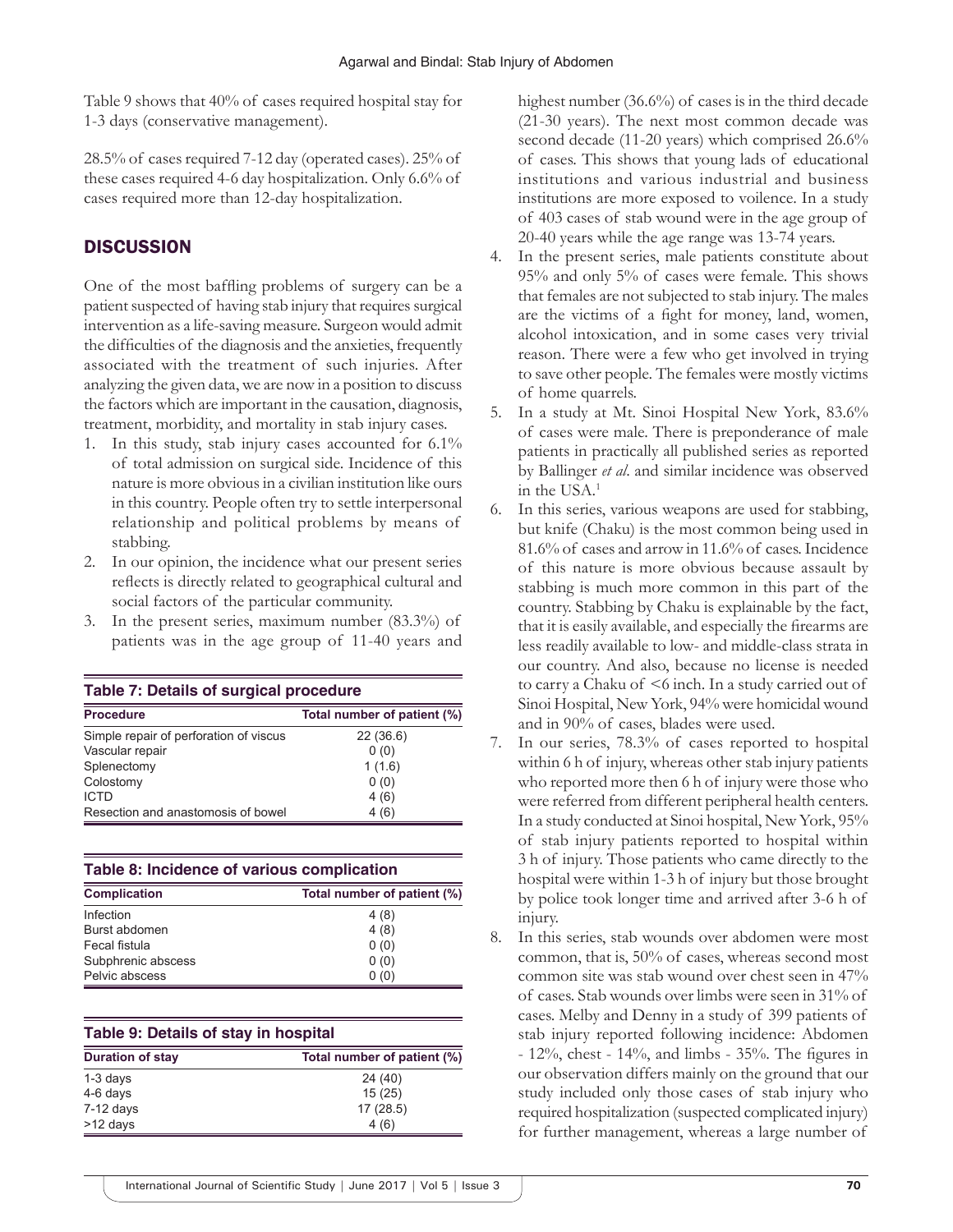Table 9 shows that 40% of cases required hospital stay for 1-3 days (conservative management).

28.5% of cases required 7-12 day (operated cases). 25% of these cases required 4-6 day hospitalization. Only 6.6% of cases required more than 12-day hospitalization.

# **DISCUSSION**

One of the most baffling problems of surgery can be a patient suspected of having stab injury that requires surgical intervention as a life-saving measure. Surgeon would admit the difficulties of the diagnosis and the anxieties, frequently associated with the treatment of such injuries. After analyzing the given data, we are now in a position to discuss the factors which are important in the causation, diagnosis, treatment, morbidity, and mortality in stab injury cases.

- 1. In this study, stab injury cases accounted for 6.1% of total admission on surgical side. Incidence of this nature is more obvious in a civilian institution like ours in this country. People often try to settle interpersonal relationship and political problems by means of stabbing.
- 2. In our opinion, the incidence what our present series reflects is directly related to geographical cultural and social factors of the particular community.
- 3. In the present series, maximum number (83.3%) of patients was in the age group of 11-40 years and

| Table 7: Details of surgical procedure |                             |
|----------------------------------------|-----------------------------|
| <b>Procedure</b>                       | Total number of patient (%) |
| Simple repair of perforation of viscus | 22(36.6)                    |
| Vascular repair                        | 0(0)                        |
| Splenectomy                            | 1(1.6)                      |
| Colostomy                              | 0(0)                        |
| <b>ICTD</b>                            | 4(6)                        |
| Resection and anastomosis of bowel     | 4(6)                        |

| Table 8: Incidence of various complication |                             |  |
|--------------------------------------------|-----------------------------|--|
| <b>Complication</b>                        | Total number of patient (%) |  |
| Infection                                  | 4(8)                        |  |
| Burst abdomen                              | 4(8)                        |  |
| Fecal fistula                              | 0(0)                        |  |
| Subphrenic abscess                         | 0(0)                        |  |
| Pelvic abscess                             | 0(0)                        |  |

#### **Table 9: Details of stay in hospital**

| <b>Duration of stay</b> | Total number of patient (%) |  |
|-------------------------|-----------------------------|--|
| $1-3$ days              | 24(40)                      |  |
| 4-6 days                | 15(25)                      |  |
| $7-12$ days             | 17(28.5)                    |  |
| >12 days                | 4(6)                        |  |

highest number (36.6%) of cases is in the third decade (21-30 years). The next most common decade was second decade (11-20 years) which comprised 26.6% of cases. This shows that young lads of educational institutions and various industrial and business institutions are more exposed to voilence. In a study of 403 cases of stab wound were in the age group of 20-40 years while the age range was 13-74 years.

- 4. In the present series, male patients constitute about 95% and only 5% of cases were female. This shows that females are not subjected to stab injury. The males are the victims of a fight for money, land, women, alcohol intoxication, and in some cases very trivial reason. There were a few who get involved in trying to save other people. The females were mostly victims of home quarrels.
- 5. In a study at Mt. Sinoi Hospital New York, 83.6% of cases were male. There is preponderance of male patients in practically all published series as reported by Ballinger *et al*. and similar incidence was observed in the USA.1
- 6. In this series, various weapons are used for stabbing, but knife (Chaku) is the most common being used in 81.6% of cases and arrow in 11.6% of cases. Incidence of this nature is more obvious because assault by stabbing is much more common in this part of the country. Stabbing by Chaku is explainable by the fact, that it is easily available, and especially the firearms are less readily available to low- and middle-class strata in our country. And also, because no license is needed to carry a Chaku of <6 inch. In a study carried out of Sinoi Hospital, New York, 94% were homicidal wound and in 90% of cases, blades were used.
- 7. In our series, 78.3% of cases reported to hospital within 6 h of injury, whereas other stab injury patients who reported more then 6 h of injury were those who were referred from different peripheral health centers. In a study conducted at Sinoi hospital, New York, 95% of stab injury patients reported to hospital within 3 h of injury. Those patients who came directly to the hospital were within 1-3 h of injury but those brought by police took longer time and arrived after 3-6 h of injury.
- 8. In this series, stab wounds over abdomen were most common, that is, 50% of cases, whereas second most common site was stab wound over chest seen in 47% of cases. Stab wounds over limbs were seen in 31% of cases. Melby and Denny in a study of 399 patients of stab injury reported following incidence: Abdomen - 12%, chest - 14%, and limbs - 35%. The figures in our observation differs mainly on the ground that our study included only those cases of stab injury who required hospitalization (suspected complicated injury) for further management, whereas a large number of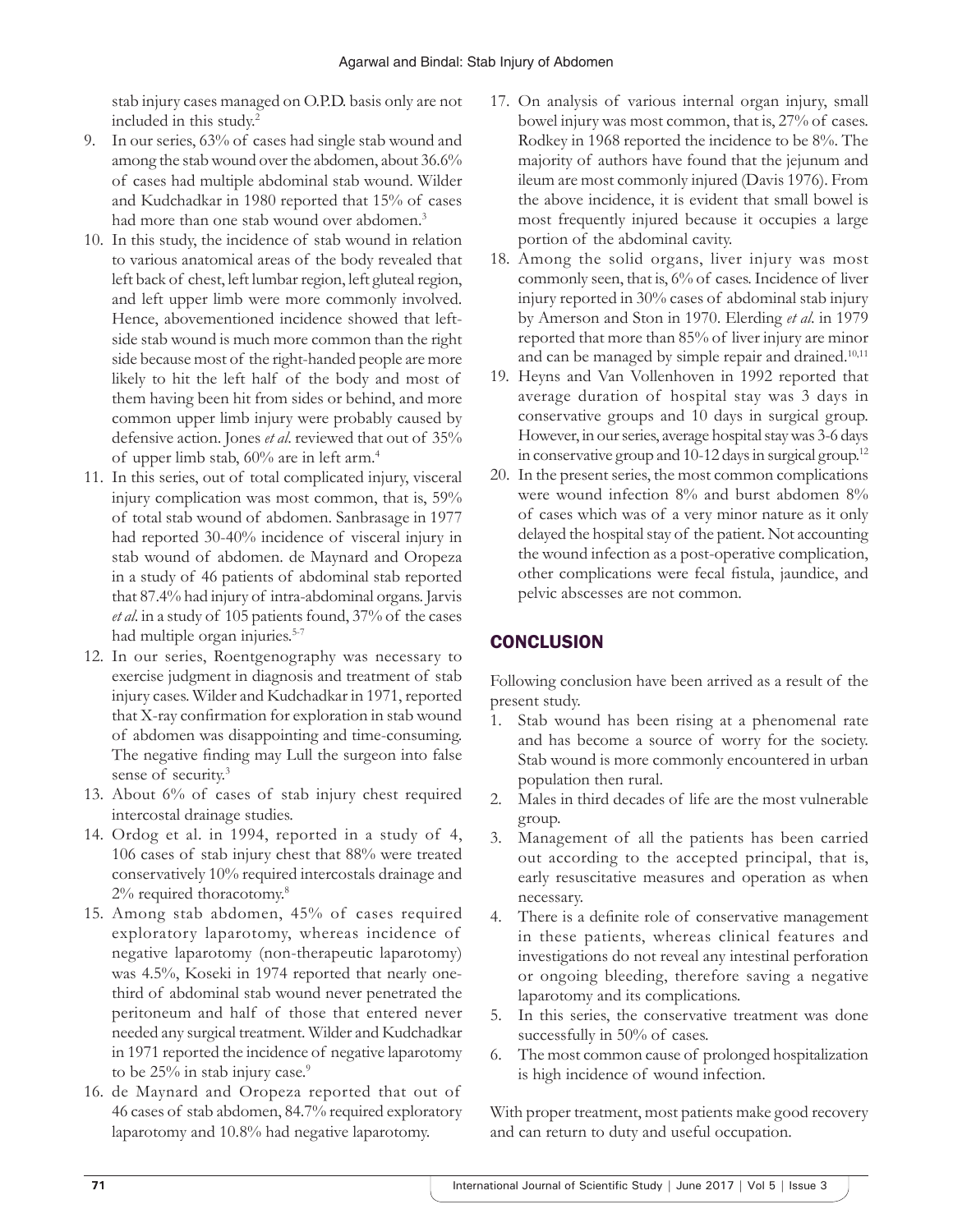stab injury cases managed on O.P.D. basis only are not included in this study.2

- 9. In our series, 63% of cases had single stab wound and among the stab wound over the abdomen, about 36.6% of cases had multiple abdominal stab wound. Wilder and Kudchadkar in 1980 reported that 15% of cases had more than one stab wound over abdomen.<sup>3</sup>
- 10. In this study, the incidence of stab wound in relation to various anatomical areas of the body revealed that left back of chest, left lumbar region, left gluteal region, and left upper limb were more commonly involved. Hence, abovementioned incidence showed that leftside stab wound is much more common than the right side because most of the right-handed people are more likely to hit the left half of the body and most of them having been hit from sides or behind, and more common upper limb injury were probably caused by defensive action. Jones *et al*. reviewed that out of 35% of upper limb stab, 60% are in left arm.4
- 11. In this series, out of total complicated injury, visceral injury complication was most common, that is, 59% of total stab wound of abdomen. Sanbrasage in 1977 had reported 30-40% incidence of visceral injury in stab wound of abdomen. de Maynard and Oropeza in a study of 46 patients of abdominal stab reported that 87.4% had injury of intra-abdominal organs. Jarvis *et al*. in a study of 105 patients found, 37% of the cases had multiple organ injuries.<sup>5-7</sup>
- 12. In our series, Roentgenography was necessary to exercise judgment in diagnosis and treatment of stab injury cases. Wilder and Kudchadkar in 1971, reported that X-ray confirmation for exploration in stab wound of abdomen was disappointing and time-consuming. The negative finding may Lull the surgeon into false sense of security.<sup>3</sup>
- 13. About 6% of cases of stab injury chest required intercostal drainage studies.
- 14. Ordog et al. in 1994, reported in a study of 4, 106 cases of stab injury chest that 88% were treated conservatively 10% required intercostals drainage and 2% required thoracotomy.8
- 15. Among stab abdomen, 45% of cases required exploratory laparotomy, whereas incidence of negative laparotomy (non-therapeutic laparotomy) was 4.5%, Koseki in 1974 reported that nearly onethird of abdominal stab wound never penetrated the peritoneum and half of those that entered never needed any surgical treatment. Wilder and Kudchadkar in 1971 reported the incidence of negative laparotomy to be 25% in stab injury case.<sup>9</sup>
- 16. de Maynard and Oropeza reported that out of 46 cases of stab abdomen, 84.7% required exploratory laparotomy and 10.8% had negative laparotomy.
- 17. On analysis of various internal organ injury, small bowel injury was most common, that is, 27% of cases. Rodkey in 1968 reported the incidence to be 8%. The majority of authors have found that the jejunum and ileum are most commonly injured (Davis 1976). From the above incidence, it is evident that small bowel is most frequently injured because it occupies a large portion of the abdominal cavity.
- 18. Among the solid organs, liver injury was most commonly seen, that is, 6% of cases. Incidence of liver injury reported in 30% cases of abdominal stab injury by Amerson and Ston in 1970. Elerding *et al*. in 1979 reported that more than 85% of liver injury are minor and can be managed by simple repair and drained.<sup>10,11</sup>
- 19. Heyns and Van Vollenhoven in 1992 reported that average duration of hospital stay was 3 days in conservative groups and 10 days in surgical group. However, in our series, average hospital stay was 3-6 days in conservative group and 10-12 days in surgical group.12
- 20. In the present series, the most common complications were wound infection 8% and burst abdomen 8% of cases which was of a very minor nature as it only delayed the hospital stay of the patient. Not accounting the wound infection as a post-operative complication, other complications were fecal fistula, jaundice, and pelvic abscesses are not common.

# **CONCLUSION**

Following conclusion have been arrived as a result of the present study.

- 1. Stab wound has been rising at a phenomenal rate and has become a source of worry for the society. Stab wound is more commonly encountered in urban population then rural.
- 2. Males in third decades of life are the most vulnerable group.
- 3. Management of all the patients has been carried out according to the accepted principal, that is, early resuscitative measures and operation as when necessary.
- 4. There is a definite role of conservative management in these patients, whereas clinical features and investigations do not reveal any intestinal perforation or ongoing bleeding, therefore saving a negative laparotomy and its complications.
- 5. In this series, the conservative treatment was done successfully in 50% of cases.
- 6. The most common cause of prolonged hospitalization is high incidence of wound infection.

With proper treatment, most patients make good recovery and can return to duty and useful occupation.